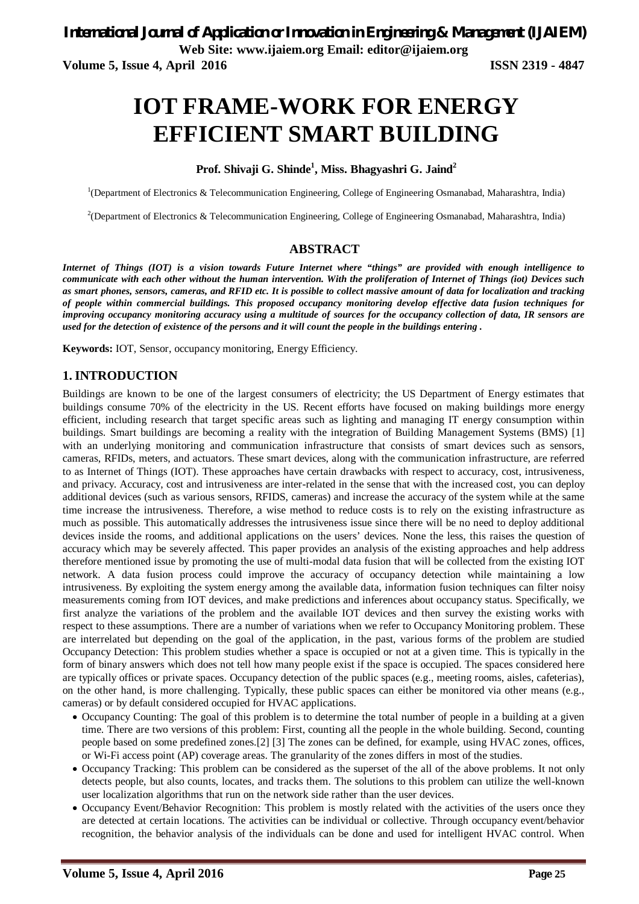**Web Site: www.ijaiem.org Email: editor@ijaiem.org**

**Volume 5, Issue 4, April 2016 ISSN 2319 - 4847** 

# **IOT FRAME-WORK FOR ENERGY EFFICIENT SMART BUILDING**

# **Prof. Shivaji G. Shinde<sup>1</sup> , Miss. Bhagyashri G. Jaind<sup>2</sup>**

<sup>1</sup>(Department of Electronics & Telecommunication Engineering, College of Engineering Osmanabad, Maharashtra, India)

<sup>2</sup>(Department of Electronics & Telecommunication Engineering, College of Engineering Osmanabad, Maharashtra, India)

### **ABSTRACT**

*Internet of Things (IOT) is a vision towards Future Internet where "things" are provided with enough intelligence to communicate with each other without the human intervention. With the proliferation of Internet of Things (iot) Devices such as smart phones, sensors, cameras, and RFID etc. It is possible to collect massive amount of data for localization and tracking of people within commercial buildings. This proposed occupancy monitoring develop effective data fusion techniques for improving occupancy monitoring accuracy using a multitude of sources for the occupancy collection of data, IR sensors are used for the detection of existence of the persons and it will count the people in the buildings entering .*

**Keywords:** IOT, Sensor, occupancy monitoring, Energy Efficiency.

# **1. INTRODUCTION**

Buildings are known to be one of the largest consumers of electricity; the US Department of Energy estimates that buildings consume 70% of the electricity in the US. Recent efforts have focused on making buildings more energy efficient, including research that target specific areas such as lighting and managing IT energy consumption within buildings. Smart buildings are becoming a reality with the integration of Building Management Systems (BMS) [1] with an underlying monitoring and communication infrastructure that consists of smart devices such as sensors, cameras, RFIDs, meters, and actuators. These smart devices, along with the communication infrastructure, are referred to as Internet of Things (IOT). These approaches have certain drawbacks with respect to accuracy, cost, intrusiveness, and privacy. Accuracy, cost and intrusiveness are inter-related in the sense that with the increased cost, you can deploy additional devices (such as various sensors, RFIDS, cameras) and increase the accuracy of the system while at the same time increase the intrusiveness. Therefore, a wise method to reduce costs is to rely on the existing infrastructure as much as possible. This automatically addresses the intrusiveness issue since there will be no need to deploy additional devices inside the rooms, and additional applications on the users' devices. None the less, this raises the question of accuracy which may be severely affected. This paper provides an analysis of the existing approaches and help address therefore mentioned issue by promoting the use of multi-modal data fusion that will be collected from the existing IOT network. A data fusion process could improve the accuracy of occupancy detection while maintaining a low intrusiveness. By exploiting the system energy among the available data, information fusion techniques can filter noisy measurements coming from IOT devices, and make predictions and inferences about occupancy status. Specifically, we first analyze the variations of the problem and the available IOT devices and then survey the existing works with respect to these assumptions. There are a number of variations when we refer to Occupancy Monitoring problem. These are interrelated but depending on the goal of the application, in the past, various forms of the problem are studied Occupancy Detection: This problem studies whether a space is occupied or not at a given time. This is typically in the form of binary answers which does not tell how many people exist if the space is occupied. The spaces considered here are typically offices or private spaces. Occupancy detection of the public spaces (e.g., meeting rooms, aisles, cafeterias), on the other hand, is more challenging. Typically, these public spaces can either be monitored via other means (e.g., cameras) or by default considered occupied for HVAC applications.

- Occupancy Counting: The goal of this problem is to determine the total number of people in a building at a given time. There are two versions of this problem: First, counting all the people in the whole building. Second, counting people based on some predefined zones.[2] [3] The zones can be defined, for example, using HVAC zones, offices, or Wi-Fi access point (AP) coverage areas. The granularity of the zones differs in most of the studies.
- Occupancy Tracking: This problem can be considered as the superset of the all of the above problems. It not only detects people, but also counts, locates, and tracks them. The solutions to this problem can utilize the well-known user localization algorithms that run on the network side rather than the user devices.
- Occupancy Event/Behavior Recognition: This problem is mostly related with the activities of the users once they are detected at certain locations. The activities can be individual or collective. Through occupancy event/behavior recognition, the behavior analysis of the individuals can be done and used for intelligent HVAC control. When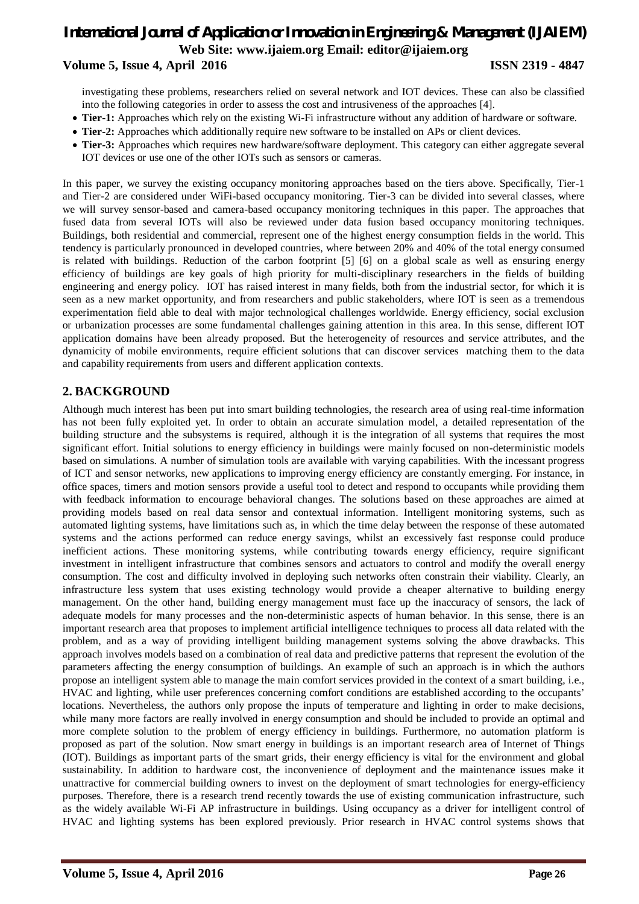# *International Journal of Application or Innovation in Engineering & Management (IJAIEM)* **Web Site: www.ijaiem.org Email: editor@ijaiem.org Volume 5, Issue 4, April 2016 ISSN 2319 - 4847**

investigating these problems, researchers relied on several network and IOT devices. These can also be classified into the following categories in order to assess the cost and intrusiveness of the approaches [4].

- **Tier-1:** Approaches which rely on the existing Wi-Fi infrastructure without any addition of hardware or software.
- **Tier-2:** Approaches which additionally require new software to be installed on APs or client devices.
- **Tier-3:** Approaches which requires new hardware/software deployment. This category can either aggregate several IOT devices or use one of the other IOTs such as sensors or cameras.

In this paper, we survey the existing occupancy monitoring approaches based on the tiers above. Specifically, Tier-1 and Tier-2 are considered under WiFi-based occupancy monitoring. Tier-3 can be divided into several classes, where we will survey sensor-based and camera-based occupancy monitoring techniques in this paper. The approaches that fused data from several IOTs will also be reviewed under data fusion based occupancy monitoring techniques. Buildings, both residential and commercial, represent one of the highest energy consumption fields in the world. This tendency is particularly pronounced in developed countries, where between 20% and 40% of the total energy consumed is related with buildings. Reduction of the carbon footprint [5] [6] on a global scale as well as ensuring energy efficiency of buildings are key goals of high priority for multi-disciplinary researchers in the fields of building engineering and energy policy. IOT has raised interest in many fields, both from the industrial sector, for which it is seen as a new market opportunity, and from researchers and public stakeholders, where IOT is seen as a tremendous experimentation field able to deal with major technological challenges worldwide. Energy efficiency, social exclusion or urbanization processes are some fundamental challenges gaining attention in this area. In this sense, different IOT application domains have been already proposed. But the heterogeneity of resources and service attributes, and the dynamicity of mobile environments, require efficient solutions that can discover services matching them to the data and capability requirements from users and different application contexts.

# **2. BACKGROUND**

Although much interest has been put into smart building technologies, the research area of using real-time information has not been fully exploited yet. In order to obtain an accurate simulation model, a detailed representation of the building structure and the subsystems is required, although it is the integration of all systems that requires the most significant effort. Initial solutions to energy efficiency in buildings were mainly focused on non-deterministic models based on simulations. A number of simulation tools are available with varying capabilities. With the incessant progress of ICT and sensor networks, new applications to improving energy efficiency are constantly emerging. For instance, in office spaces, timers and motion sensors provide a useful tool to detect and respond to occupants while providing them with feedback information to encourage behavioral changes. The solutions based on these approaches are aimed at providing models based on real data sensor and contextual information. Intelligent monitoring systems, such as automated lighting systems, have limitations such as, in which the time delay between the response of these automated systems and the actions performed can reduce energy savings, whilst an excessively fast response could produce inefficient actions. These monitoring systems, while contributing towards energy efficiency, require significant investment in intelligent infrastructure that combines sensors and actuators to control and modify the overall energy consumption. The cost and difficulty involved in deploying such networks often constrain their viability. Clearly, an infrastructure less system that uses existing technology would provide a cheaper alternative to building energy management. On the other hand, building energy management must face up the inaccuracy of sensors, the lack of adequate models for many processes and the non-deterministic aspects of human behavior. In this sense, there is an important research area that proposes to implement artificial intelligence techniques to process all data related with the problem, and as a way of providing intelligent building management systems solving the above drawbacks. This approach involves models based on a combination of real data and predictive patterns that represent the evolution of the parameters affecting the energy consumption of buildings. An example of such an approach is in which the authors propose an intelligent system able to manage the main comfort services provided in the context of a smart building, i.e., HVAC and lighting, while user preferences concerning comfort conditions are established according to the occupants' locations. Nevertheless, the authors only propose the inputs of temperature and lighting in order to make decisions, while many more factors are really involved in energy consumption and should be included to provide an optimal and more complete solution to the problem of energy efficiency in buildings. Furthermore, no automation platform is proposed as part of the solution. Now smart energy in buildings is an important research area of Internet of Things (IOT). Buildings as important parts of the smart grids, their energy efficiency is vital for the environment and global sustainability. In addition to hardware cost, the inconvenience of deployment and the maintenance issues make it unattractive for commercial building owners to invest on the deployment of smart technologies for energy-efficiency purposes. Therefore, there is a research trend recently towards the use of existing communication infrastructure, such as the widely available Wi-Fi AP infrastructure in buildings. Using occupancy as a driver for intelligent control of HVAC and lighting systems has been explored previously. Prior research in HVAC control systems shows that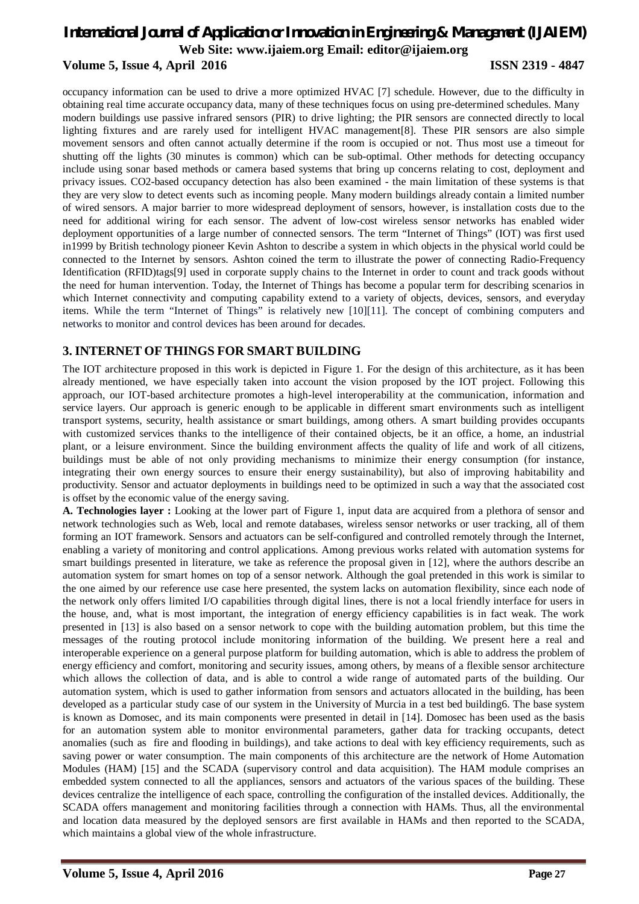# *International Journal of Application or Innovation in Engineering & Management (IJAIEM)* **Web Site: www.ijaiem.org Email: editor@ijaiem.org Volume 5, Issue 4, April 2016 ISSN 2319 - 4847**

occupancy information can be used to drive a more optimized HVAC [7] schedule. However, due to the difficulty in obtaining real time accurate occupancy data, many of these techniques focus on using pre-determined schedules. Many modern buildings use passive infrared sensors (PIR) to drive lighting; the PIR sensors are connected directly to local lighting fixtures and are rarely used for intelligent HVAC management[8]. These PIR sensors are also simple movement sensors and often cannot actually determine if the room is occupied or not. Thus most use a timeout for shutting off the lights (30 minutes is common) which can be sub-optimal. Other methods for detecting occupancy include using sonar based methods or camera based systems that bring up concerns relating to cost, deployment and privacy issues. CO2-based occupancy detection has also been examined - the main limitation of these systems is that they are very slow to detect events such as incoming people. Many modern buildings already contain a limited number of wired sensors. A major barrier to more widespread deployment of sensors, however, is installation costs due to the need for additional wiring for each sensor. The advent of low-cost wireless sensor networks has enabled wider deployment opportunities of a large number of connected sensors. The term "Internet of Things" (IOT) was first used in1999 by British technology pioneer Kevin Ashton to describe a system in which objects in the physical world could be connected to the Internet by sensors. Ashton coined the term to illustrate the power of connecting Radio-Frequency Identification (RFID)tags[9] used in corporate supply chains to the Internet in order to count and track goods without the need for human intervention. Today, the Internet of Things has become a popular term for describing scenarios in which Internet connectivity and computing capability extend to a variety of objects, devices, sensors, and everyday items. While the term "Internet of Things" is relatively new [10][11]. The concept of combining computers and networks to monitor and control devices has been around for decades.

# **3. INTERNET OF THINGS FOR SMART BUILDING**

The IOT architecture proposed in this work is depicted in Figure 1. For the design of this architecture, as it has been already mentioned, we have especially taken into account the vision proposed by the IOT project. Following this approach, our IOT-based architecture promotes a high-level interoperability at the communication, information and service layers. Our approach is generic enough to be applicable in different smart environments such as intelligent transport systems, security, health assistance or smart buildings, among others. A smart building provides occupants with customized services thanks to the intelligence of their contained objects, be it an office, a home, an industrial plant, or a leisure environment. Since the building environment affects the quality of life and work of all citizens, buildings must be able of not only providing mechanisms to minimize their energy consumption (for instance, integrating their own energy sources to ensure their energy sustainability), but also of improving habitability and productivity. Sensor and actuator deployments in buildings need to be optimized in such a way that the associated cost is offset by the economic value of the energy saving.

**A. Technologies layer :** Looking at the lower part of Figure 1, input data are acquired from a plethora of sensor and network technologies such as Web, local and remote databases, wireless sensor networks or user tracking, all of them forming an IOT framework. Sensors and actuators can be self-configured and controlled remotely through the Internet, enabling a variety of monitoring and control applications. Among previous works related with automation systems for smart buildings presented in literature, we take as reference the proposal given in [12], where the authors describe an automation system for smart homes on top of a sensor network. Although the goal pretended in this work is similar to the one aimed by our reference use case here presented, the system lacks on automation flexibility, since each node of the network only offers limited I/O capabilities through digital lines, there is not a local friendly interface for users in the house, and, what is most important, the integration of energy efficiency capabilities is in fact weak. The work presented in [13] is also based on a sensor network to cope with the building automation problem, but this time the messages of the routing protocol include monitoring information of the building. We present here a real and interoperable experience on a general purpose platform for building automation, which is able to address the problem of energy efficiency and comfort, monitoring and security issues, among others, by means of a flexible sensor architecture which allows the collection of data, and is able to control a wide range of automated parts of the building. Our automation system, which is used to gather information from sensors and actuators allocated in the building, has been developed as a particular study case of our system in the University of Murcia in a test bed building6. The base system is known as Domosec, and its main components were presented in detail in [14]. Domosec has been used as the basis for an automation system able to monitor environmental parameters, gather data for tracking occupants, detect anomalies (such as fire and flooding in buildings), and take actions to deal with key efficiency requirements, such as saving power or water consumption. The main components of this architecture are the network of Home Automation Modules (HAM) [15] and the SCADA (supervisory control and data acquisition). The HAM module comprises an embedded system connected to all the appliances, sensors and actuators of the various spaces of the building. These devices centralize the intelligence of each space, controlling the configuration of the installed devices. Additionally, the SCADA offers management and monitoring facilities through a connection with HAMs. Thus, all the environmental and location data measured by the deployed sensors are first available in HAMs and then reported to the SCADA, which maintains a global view of the whole infrastructure.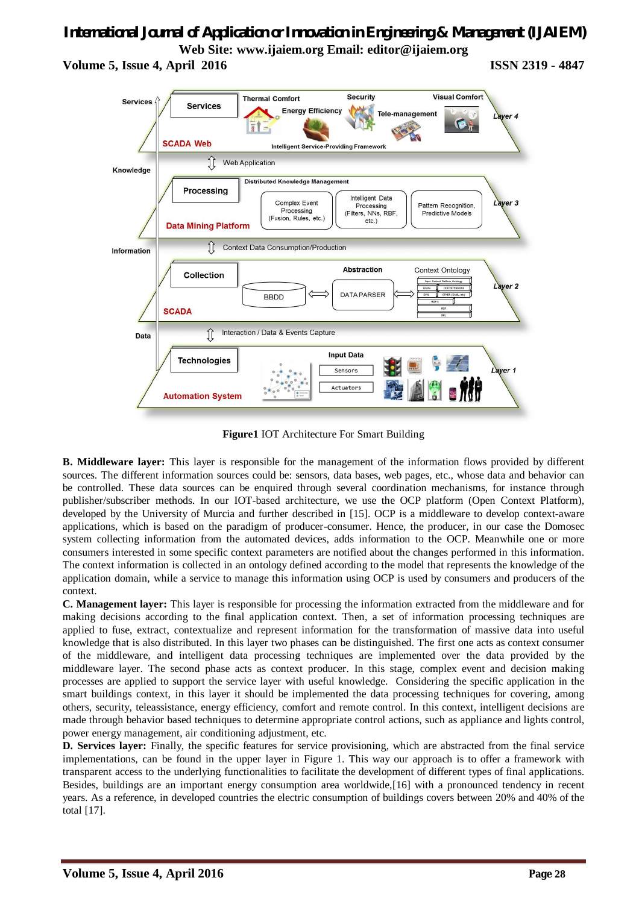# *International Journal of Application or Innovation in Engineering & Management (IJAIEM)* **Web Site: www.ijaiem.org Email: editor@ijaiem.org**

**Volume 5, Issue 4, April 2016 ISSN 2319 - 4847** 



**Figure1** IOT Architecture For Smart Building

**B. Middleware layer:** This layer is responsible for the management of the information flows provided by different sources. The different information sources could be: sensors, data bases, web pages, etc., whose data and behavior can be controlled. These data sources can be enquired through several coordination mechanisms, for instance through publisher/subscriber methods. In our IOT-based architecture, we use the OCP platform (Open Context Platform), developed by the University of Murcia and further described in [15]. OCP is a middleware to develop context-aware applications, which is based on the paradigm of producer-consumer. Hence, the producer, in our case the Domosec system collecting information from the automated devices, adds information to the OCP. Meanwhile one or more consumers interested in some specific context parameters are notified about the changes performed in this information. The context information is collected in an ontology defined according to the model that represents the knowledge of the application domain, while a service to manage this information using OCP is used by consumers and producers of the context.

**C. Management layer:** This layer is responsible for processing the information extracted from the middleware and for making decisions according to the final application context. Then, a set of information processing techniques are applied to fuse, extract, contextualize and represent information for the transformation of massive data into useful knowledge that is also distributed. In this layer two phases can be distinguished. The first one acts as context consumer of the middleware, and intelligent data processing techniques are implemented over the data provided by the middleware layer. The second phase acts as context producer. In this stage, complex event and decision making processes are applied to support the service layer with useful knowledge. Considering the specific application in the smart buildings context, in this layer it should be implemented the data processing techniques for covering, among others, security, teleassistance, energy efficiency, comfort and remote control. In this context, intelligent decisions are made through behavior based techniques to determine appropriate control actions, such as appliance and lights control, power energy management, air conditioning adjustment, etc.

**D. Services layer:** Finally, the specific features for service provisioning, which are abstracted from the final service implementations, can be found in the upper layer in Figure 1. This way our approach is to offer a framework with transparent access to the underlying functionalities to facilitate the development of different types of final applications. Besides, buildings are an important energy consumption area worldwide,[16] with a pronounced tendency in recent years. As a reference, in developed countries the electric consumption of buildings covers between 20% and 40% of the total [17].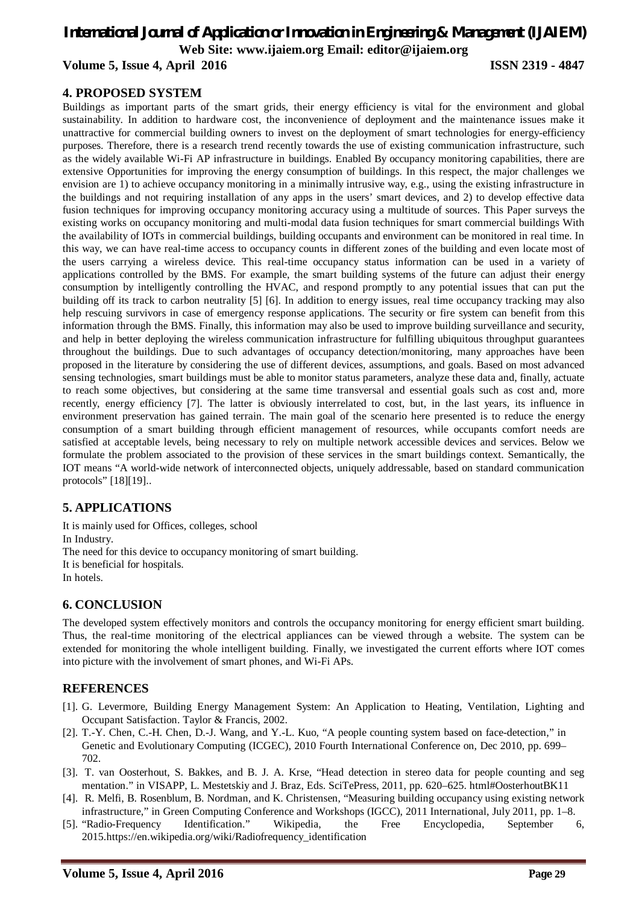# *International Journal of Application or Innovation in Engineering & Management (IJAIEM)* **Web Site: www.ijaiem.org Email: editor@ijaiem.org Volume 5, Issue 4, April 2016 ISSN 2319 - 4847**

# **4. PROPOSED SYSTEM**

Buildings as important parts of the smart grids, their energy efficiency is vital for the environment and global sustainability. In addition to hardware cost, the inconvenience of deployment and the maintenance issues make it unattractive for commercial building owners to invest on the deployment of smart technologies for energy-efficiency purposes. Therefore, there is a research trend recently towards the use of existing communication infrastructure, such as the widely available Wi-Fi AP infrastructure in buildings. Enabled By occupancy monitoring capabilities, there are extensive Opportunities for improving the energy consumption of buildings. In this respect, the major challenges we envision are 1) to achieve occupancy monitoring in a minimally intrusive way, e.g., using the existing infrastructure in the buildings and not requiring installation of any apps in the users' smart devices, and 2) to develop effective data fusion techniques for improving occupancy monitoring accuracy using a multitude of sources. This Paper surveys the existing works on occupancy monitoring and multi-modal data fusion techniques for smart commercial buildings With the availability of IOTs in commercial buildings, building occupants and environment can be monitored in real time. In this way, we can have real-time access to occupancy counts in different zones of the building and even locate most of the users carrying a wireless device. This real-time occupancy status information can be used in a variety of applications controlled by the BMS. For example, the smart building systems of the future can adjust their energy consumption by intelligently controlling the HVAC, and respond promptly to any potential issues that can put the building off its track to carbon neutrality [5] [6]. In addition to energy issues, real time occupancy tracking may also help rescuing survivors in case of emergency response applications. The security or fire system can benefit from this information through the BMS. Finally, this information may also be used to improve building surveillance and security, and help in better deploying the wireless communication infrastructure for fulfilling ubiquitous throughput guarantees throughout the buildings. Due to such advantages of occupancy detection/monitoring, many approaches have been proposed in the literature by considering the use of different devices, assumptions, and goals. Based on most advanced sensing technologies, smart buildings must be able to monitor status parameters, analyze these data and, finally, actuate to reach some objectives, but considering at the same time transversal and essential goals such as cost and, more recently, energy efficiency [7]. The latter is obviously interrelated to cost, but, in the last years, its influence in environment preservation has gained terrain. The main goal of the scenario here presented is to reduce the energy consumption of a smart building through efficient management of resources, while occupants comfort needs are satisfied at acceptable levels, being necessary to rely on multiple network accessible devices and services. Below we formulate the problem associated to the provision of these services in the smart buildings context. Semantically, the IOT means "A world-wide network of interconnected objects, uniquely addressable, based on standard communication protocols" [18][19]..

# **5. APPLICATIONS**

It is mainly used for Offices, colleges, school In Industry. The need for this device to occupancy monitoring of smart building. It is beneficial for hospitals. In hotels.

# **6. CONCLUSION**

The developed system effectively monitors and controls the occupancy monitoring for energy efficient smart building. Thus, the real-time monitoring of the electrical appliances can be viewed through a website. The system can be extended for monitoring the whole intelligent building. Finally, we investigated the current efforts where IOT comes into picture with the involvement of smart phones, and Wi-Fi APs.

# **REFERENCES**

- [1]. G. Levermore, Building Energy Management System: An Application to Heating, Ventilation, Lighting and Occupant Satisfaction. Taylor & Francis, 2002.
- [2]. T.-Y. Chen, C.-H. Chen, D.-J. Wang, and Y.-L. Kuo, "A people counting system based on face-detection," in Genetic and Evolutionary Computing (ICGEC), 2010 Fourth International Conference on, Dec 2010, pp. 699– 702.
- [3]. T. van Oosterhout, S. Bakkes, and B. J. A. Krse, "Head detection in stereo data for people counting and seg mentation." in VISAPP, L. Mestetskiy and J. Braz, Eds. SciTePress, 2011, pp. 620–625. html#OosterhoutBK11
- [4]. R. Melfi, B. Rosenblum, B. Nordman, and K. Christensen, "Measuring building occupancy using existing network infrastructure," in Green Computing Conference and Workshops (IGCC), 2011 International, July 2011, pp. 1–8.
- [5]. "Radio-Frequency Identification." Wikipedia, the Free Encyclopedia, September 6, 2015.https://en.wikipedia.org/wiki/Radiofrequency\_identification